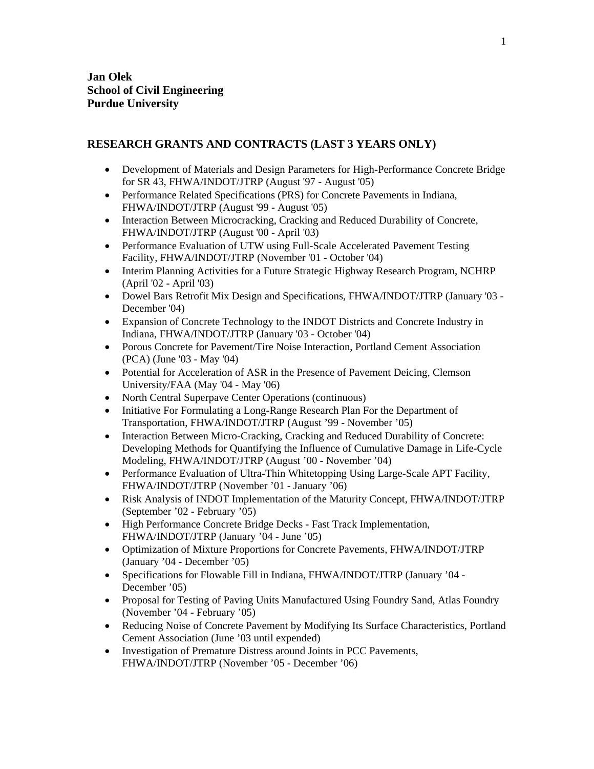## **RESEARCH GRANTS AND CONTRACTS (LAST 3 YEARS ONLY)**

- Development of Materials and Design Parameters for High-Performance Concrete Bridge for SR 43, FHWA/INDOT/JTRP (August '97 - August '05)
- Performance Related Specifications (PRS) for Concrete Pavements in Indiana, FHWA/INDOT/JTRP (August '99 - August '05)
- Interaction Between Microcracking, Cracking and Reduced Durability of Concrete, FHWA/INDOT/JTRP (August '00 - April '03)
- Performance Evaluation of UTW using Full-Scale Accelerated Pavement Testing Facility, FHWA/INDOT/JTRP (November '01 - October '04)
- Interim Planning Activities for a Future Strategic Highway Research Program, NCHRP (April '02 - April '03)
- Dowel Bars Retrofit Mix Design and Specifications, FHWA/INDOT/JTRP (January '03 December '04)
- Expansion of Concrete Technology to the INDOT Districts and Concrete Industry in Indiana, FHWA/INDOT/JTRP (January '03 - October '04)
- Porous Concrete for Pavement/Tire Noise Interaction, Portland Cement Association (PCA) (June '03 - May '04)
- Potential for Acceleration of ASR in the Presence of Pavement Deicing, Clemson University/FAA (May '04 - May '06)
- North Central Superpave Center Operations (continuous)
- Initiative For Formulating a Long-Range Research Plan For the Department of Transportation, FHWA/INDOT/JTRP (August '99 - November '05)
- Interaction Between Micro-Cracking, Cracking and Reduced Durability of Concrete: Developing Methods for Quantifying the Influence of Cumulative Damage in Life-Cycle Modeling, FHWA/INDOT/JTRP (August '00 - November '04)
- Performance Evaluation of Ultra-Thin Whitetopping Using Large-Scale APT Facility, FHWA/INDOT/JTRP (November '01 - January '06)
- Risk Analysis of INDOT Implementation of the Maturity Concept, FHWA/INDOT/JTRP (September '02 - February '05)
- High Performance Concrete Bridge Decks Fast Track Implementation, FHWA/INDOT/JTRP (January '04 - June '05)
- Optimization of Mixture Proportions for Concrete Pavements, FHWA/INDOT/JTRP (January '04 - December '05)
- Specifications for Flowable Fill in Indiana, FHWA/INDOT/JTRP (January '04 -December '05)
- Proposal for Testing of Paving Units Manufactured Using Foundry Sand, Atlas Foundry (November '04 - February '05)
- Reducing Noise of Concrete Pavement by Modifying Its Surface Characteristics, Portland Cement Association (June '03 until expended)
- Investigation of Premature Distress around Joints in PCC Pavements, FHWA/INDOT/JTRP (November '05 - December '06)